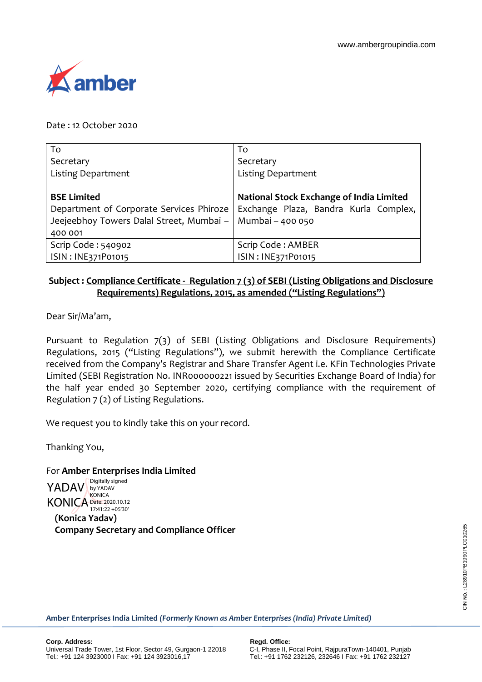

Date : 12 October 2020

| To                                       | To                                       |
|------------------------------------------|------------------------------------------|
| Secretary                                | Secretary                                |
| <b>Listing Department</b>                | <b>Listing Department</b>                |
|                                          |                                          |
| <b>BSE Limited</b>                       | National Stock Exchange of India Limited |
| Department of Corporate Services Phiroze | Exchange Plaza, Bandra Kurla Complex,    |
| Jeejeebhoy Towers Dalal Street, Mumbai - | Mumbai - 400 050                         |
| 400 001                                  |                                          |
| Scrip Code: 540902                       | Scrip Code: AMBER                        |
| ISIN: INE371P01015                       | ISIN: INE371P01015                       |

## **Subject : Compliance Certificate - Regulation 7 (3) of SEBI (Listing Obligations and Disclosure Requirements) Regulations, 2015, as amended ("Listing Regulations")**

Dear Sir/Ma'am,

Pursuant to Regulation 7(3) of SEBI (Listing Obligations and Disclosure Requirements) Regulations, 2015 ("Listing Regulations"), we submit herewith the Compliance Certificate received from the Company's Registrar and Share Transfer Agent i.e. KFin Technologies Private Limited (SEBI Registration No. INR000000221 issued by Securities Exchange Board of India) for the half year ended 30 September 2020, certifying compliance with the requirement of Regulation 7 (2) of Listing Regulations.

We request you to kindly take this on your record.

Thanking You,

For **Amber Enterprises India Limited**

**(Konica Yadav) Company Secretary and Compliance Officer** YADAV by YADAV KONICA Date: 2020.10.12 Digitally signed **KONICA** 17:41:22 +05'30'

**Amber Enterprises India Limited** *(Formerly Known as Amber Enterprises (India) Private Limited)*